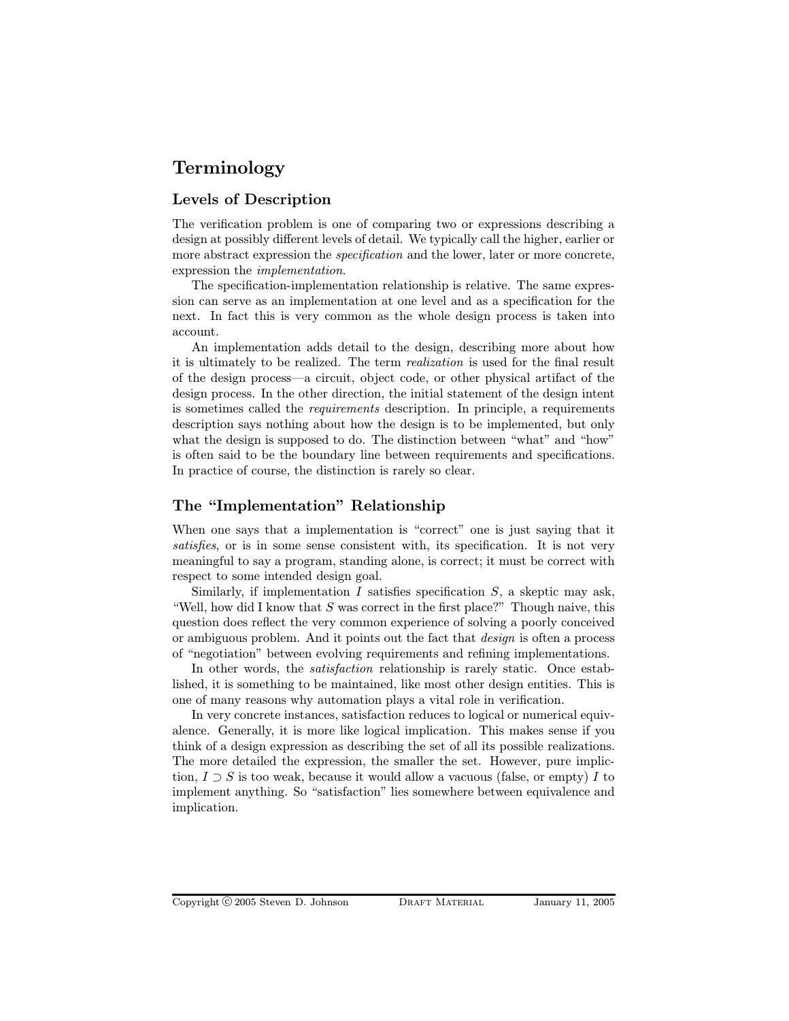# Terminology

## Levels of Description

The verification problem is one of comparing two or expressions describing a design at possibly different levels of detail. We typically call the higher, earlier or more abstract expression the *specification* and the lower, later or more concrete, expression the implementation.

The specification-implementation relationship is relative. The same expression can serve as an implementation at one level and as a specification for the next. In fact this is very common as the whole design process is taken into account.

An implementation adds detail to the design, describing more about how it is ultimately to be realized. The term realization is used for the final result of the design process—a circuit, object code, or other physical artifact of the design process. In the other direction, the initial statement of the design intent is sometimes called the requirements description. In principle, a requirements description says nothing about how the design is to be implemented, but only what the design is supposed to do. The distinction between "what" and "how" is often said to be the boundary line between requirements and specifications. In practice of course, the distinction is rarely so clear.

## The "Implementation" Relationship

When one says that a implementation is "correct" one is just saying that it satisfies, or is in some sense consistent with, its specification. It is not very meaningful to say a program, standing alone, is correct; it must be correct with respect to some intended design goal.

Similarly, if implementation I satisfies specification  $S$ , a skeptic may ask, "Well, how did I know that  $S$  was correct in the first place?" Though naive, this question does reflect the very common experience of solving a poorly conceived or ambiguous problem. And it points out the fact that design is often a process of "negotiation" between evolving requirements and refining implementations.

In other words, the *satisfaction* relationship is rarely static. Once established, it is something to be maintained, like most other design entities. This is one of many reasons why automation plays a vital role in verification.

In very concrete instances, satisfaction reduces to logical or numerical equivalence. Generally, it is more like logical implication. This makes sense if you think of a design expression as describing the set of all its possible realizations. The more detailed the expression, the smaller the set. However, pure impliction,  $I \supset S$  is too weak, because it would allow a vacuous (false, or empty) I to implement anything. So "satisfaction" lies somewhere between equivalence and implication.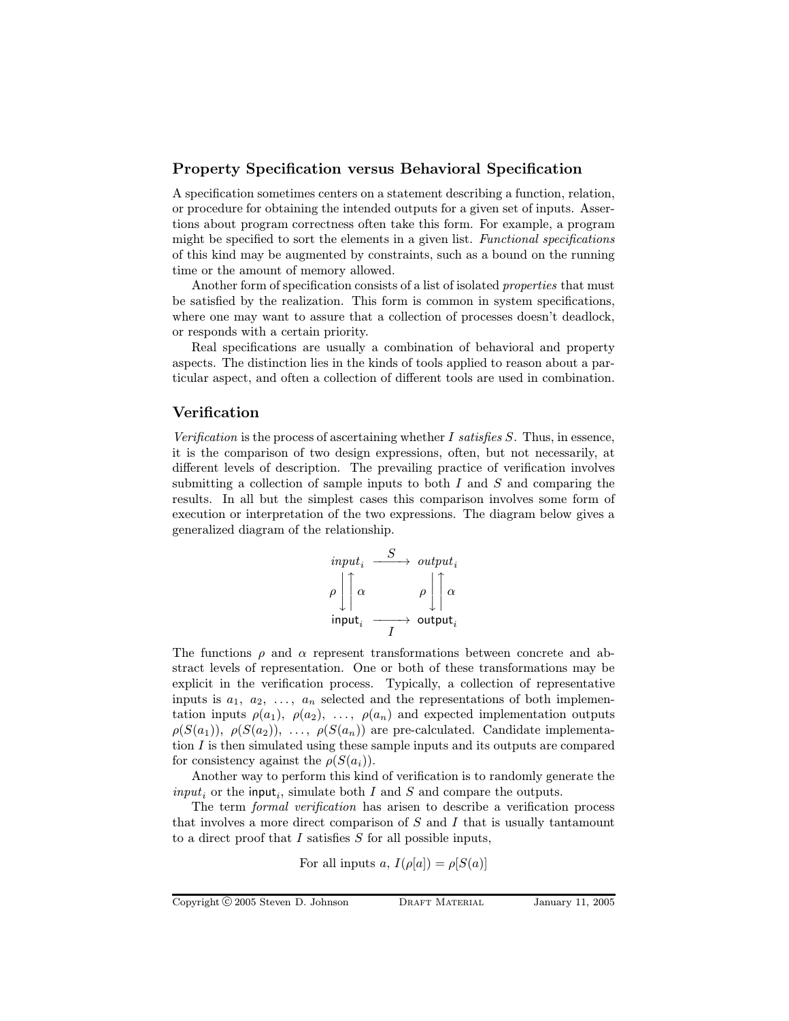#### Property Specification versus Behavioral Specification

A specification sometimes centers on a statement describing a function, relation, or procedure for obtaining the intended outputs for a given set of inputs. Assertions about program correctness often take this form. For example, a program might be specified to sort the elements in a given list. Functional specifications of this kind may be augmented by constraints, such as a bound on the running time or the amount of memory allowed.

Another form of specification consists of a list of isolated *properties* that must be satisfied by the realization. This form is common in system specifications, where one may want to assure that a collection of processes doesn't deadlock, or responds with a certain priority.

Real specifications are usually a combination of behavioral and property aspects. The distinction lies in the kinds of tools applied to reason about a particular aspect, and often a collection of different tools are used in combination.

## Verification

Verification is the process of ascertaining whether I satisfies S. Thus, in essence, it is the comparison of two design expressions, often, but not necessarily, at different levels of description. The prevailing practice of verification involves submitting a collection of sample inputs to both  $I$  and  $S$  and comparing the results. In all but the simplest cases this comparison involves some form of execution or interpretation of the two expressions. The diagram below gives a generalized diagram of the relationship.

$$
\begin{array}{ccc}\n\text{input}_{i} & \xrightarrow{S} & \text{output}_{i} \\
\rho \left| \left\lceil \alpha \right\rceil & \rho \left\lceil \left\lceil \alpha \right\rceil \right\rceil \\
\text{input}_{i} & \xrightarrow{I} & \text{output}_{i}\n\end{array}
$$

The functions  $\rho$  and  $\alpha$  represent transformations between concrete and abstract levels of representation. One or both of these transformations may be explicit in the verification process. Typically, a collection of representative inputs is  $a_1, a_2, \ldots, a_n$  selected and the representations of both implementation inputs  $\rho(a_1)$ ,  $\rho(a_2)$ , ...,  $\rho(a_n)$  and expected implementation outputs  $\rho(S(a_1)), \rho(S(a_2)), \ldots, \rho(S(a_n))$  are pre-calculated. Candidate implementation I is then simulated using these sample inputs and its outputs are compared for consistency against the  $\rho(S(a_i))$ .

Another way to perform this kind of verification is to randomly generate the  $input_i$  or the input<sub>i</sub>, simulate both I and S and compare the outputs.

The term *formal verification* has arisen to describe a verification process that involves a more direct comparison of  $S$  and  $I$  that is usually tantamount to a direct proof that  $I$  satisfies  $S$  for all possible inputs,

For all inputs 
$$
a
$$
,  $I(\rho[a]) = \rho[S(a)]$